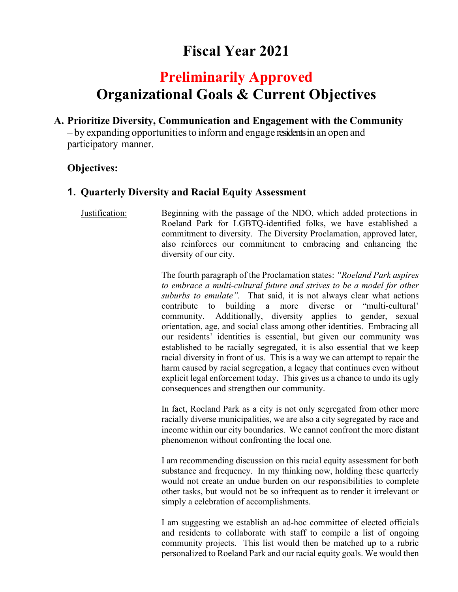# **Fiscal Year 2021**

# **Preliminarily Approved Organizational Goals & Current Objectives**

**A. Prioritize Diversity, Communication and Engagement with the Community** 

– by expanding opportunities to inform and engage residents in an open and participatory manner.

# **Objectives:**

# **1. Quarterly Diversity and Racial Equity Assessment**

Justification: Beginning with the passage of the NDO, which added protections in Roeland Park for LGBTQ-identified folks, we have established a commitment to diversity. The Diversity Proclamation, approved later, also reinforces our commitment to embracing and enhancing the diversity of our city.

> The fourth paragraph of the Proclamation states: *"Roeland Park aspires to embrace a multi-cultural future and strives to be a model for other suburbs to emulate".* That said, it is not always clear what actions contribute to building a more diverse or "multi-cultural' community. Additionally, diversity applies to gender, sexual orientation, age, and social class among other identities. Embracing all our residents' identities is essential, but given our community was established to be racially segregated, it is also essential that we keep racial diversity in front of us. This is a way we can attempt to repair the harm caused by racial segregation, a legacy that continues even without explicit legal enforcement today. This gives us a chance to undo its ugly consequences and strengthen our community.

> In fact, Roeland Park as a city is not only segregated from other more racially diverse municipalities, we are also a city segregated by race and income within our city boundaries. We cannot confront the more distant phenomenon without confronting the local one.

> I am recommending discussion on this racial equity assessment for both substance and frequency. In my thinking now, holding these quarterly would not create an undue burden on our responsibilities to complete other tasks, but would not be so infrequent as to render it irrelevant or simply a celebration of accomplishments.

> I am suggesting we establish an ad-hoc committee of elected officials and residents to collaborate with staff to compile a list of ongoing community projects. This list would then be matched up to a rubric personalized to Roeland Park and our racial equity goals. We would then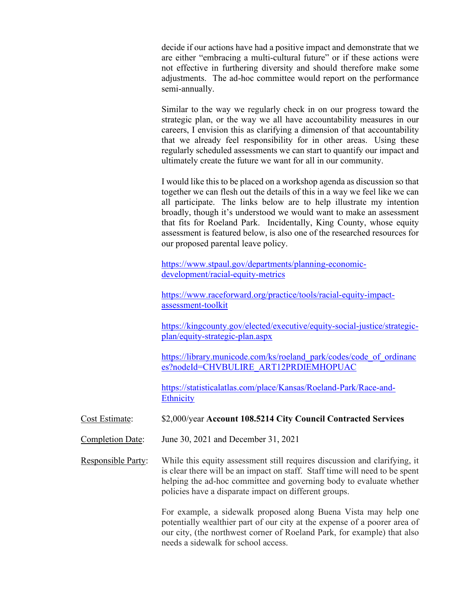decide if our actions have had a positive impact and demonstrate that we are either "embracing a multi-cultural future" or if these actions were not effective in furthering diversity and should therefore make some adjustments. The ad-hoc committee would report on the performance semi-annually.

Similar to the way we regularly check in on our progress toward the strategic plan, or the way we all have accountability measures in our careers, I envision this as clarifying a dimension of that accountability that we already feel responsibility for in other areas. Using these regularly scheduled assessments we can start to quantify our impact and ultimately create the future we want for all in our community.

I would like this to be placed on a workshop agenda as discussion so that together we can flesh out the details of this in a way we feel like we can all participate. The links below are to help illustrate my intention broadly, though it's understood we would want to make an assessment that fits for Roeland Park. Incidentally, King County, whose equity assessment is featured below, is also one of the researched resources for our proposed parental leave policy.

https://www.stpaul.gov/departments/planning-economicdevelopment/racial-equity-metrics

https://www.raceforward.org/practice/tools/racial-equity-impactassessment-toolkit

https://kingcounty.gov/elected/executive/equity-social-justice/strategicplan/equity-strategic-plan.aspx

https://library.municode.com/ks/roeland\_park/codes/code\_of\_ordinanc es?nodeId=CHVBULIRE\_ART12PRDIEMHOPUAC

https://statisticalatlas.com/place/Kansas/Roeland-Park/Race-and-**Ethnicity** 

#### Cost Estimate: \$2,000/year **Account 108.5214 City Council Contracted Services**

Completion Date: June 30, 2021 and December 31, 2021

Responsible Party: While this equity assessment still requires discussion and clarifying, it is clear there will be an impact on staff. Staff time will need to be spent helping the ad-hoc committee and governing body to evaluate whether policies have a disparate impact on different groups.

> For example, a sidewalk proposed along Buena Vista may help one potentially wealthier part of our city at the expense of a poorer area of our city, (the northwest corner of Roeland Park, for example) that also needs a sidewalk for school access.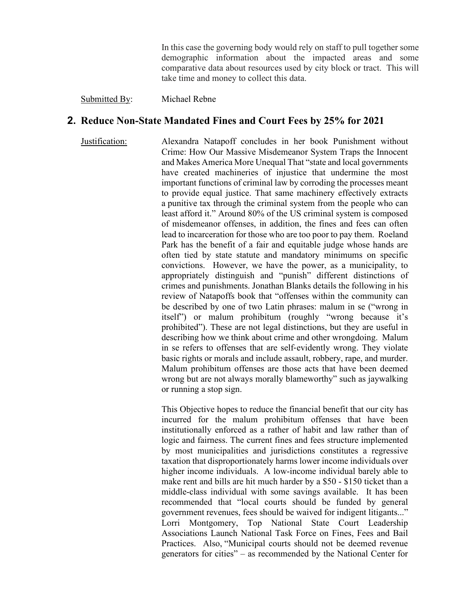In this case the governing body would rely on staff to pull together some demographic information about the impacted areas and some comparative data about resources used by city block or tract. This will take time and money to collect this data.

#### Submitted By: Michael Rebne

## **2. Reduce Non-State Mandated Fines and Court Fees by 25% for 2021**

Justification: Alexandra Natapoff concludes in her book Punishment without Crime: How Our Massive Misdemeanor System Traps the Innocent and Makes America More Unequal That "state and local governments have created machineries of injustice that undermine the most important functions of criminal law by corroding the processes meant to provide equal justice. That same machinery effectively extracts a punitive tax through the criminal system from the people who can least afford it." Around 80% of the US criminal system is composed of misdemeanor offenses, in addition, the fines and fees can often lead to incarceration for those who are too poor to pay them. Roeland Park has the benefit of a fair and equitable judge whose hands are often tied by state statute and mandatory minimums on specific convictions. However, we have the power, as a municipality, to appropriately distinguish and "punish" different distinctions of crimes and punishments. Jonathan Blanks details the following in his review of Natapoffs book that "offenses within the community can be described by one of two Latin phrases: malum in se ("wrong in itself") or malum prohibitum (roughly "wrong because it's prohibited"). These are not legal distinctions, but they are useful in describing how we think about crime and other wrongdoing. Malum in se refers to offenses that are self‐evidently wrong. They violate basic rights or morals and include assault, robbery, rape, and murder. Malum prohibitum offenses are those acts that have been deemed wrong but are not always morally blameworthy" such as jaywalking or running a stop sign.

> This Objective hopes to reduce the financial benefit that our city has incurred for the malum prohibitum offenses that have been institutionally enforced as a rather of habit and law rather than of logic and fairness. The current fines and fees structure implemented by most municipalities and jurisdictions constitutes a regressive taxation that disproportionately harms lower income individuals over higher income individuals. A low-income individual barely able to make rent and bills are hit much harder by a \$50 - \$150 ticket than a middle-class individual with some savings available. It has been recommended that "local courts should be funded by general government revenues, fees should be waived for indigent litigants..." Lorri Montgomery, Top National State Court Leadership Associations Launch National Task Force on Fines, Fees and Bail Practices. Also, "Municipal courts should not be deemed revenue generators for cities" – as recommended by the National Center for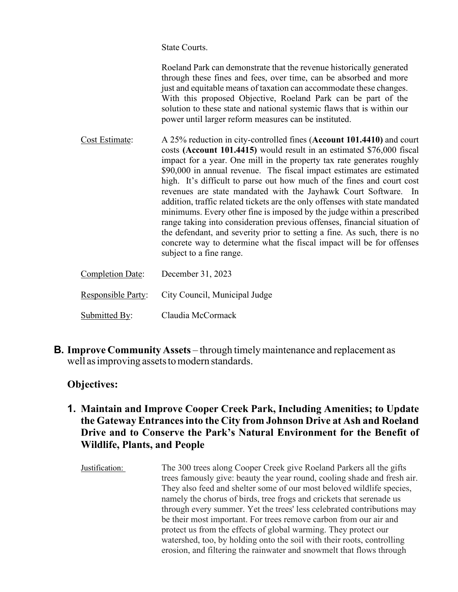State Courts.

 Roeland Park can demonstrate that the revenue historically generated through these fines and fees, over time, can be absorbed and more just and equitable means of taxation can accommodate these changes. With this proposed Objective, Roeland Park can be part of the solution to these state and national systemic flaws that is within our power until larger reform measures can be instituted.

Cost Estimate: A 25% reduction in city-controlled fines (**Account 101.4410)** and court costs **(Account 101.4415)** would result in an estimated \$76,000 fiscal impact for a year. One mill in the property tax rate generates roughly \$90,000 in annual revenue. The fiscal impact estimates are estimated high. It's difficult to parse out how much of the fines and court cost revenues are state mandated with the Jayhawk Court Software. In addition, traffic related tickets are the only offenses with state mandated minimums. Every other fine is imposed by the judge within a prescribed range taking into consideration previous offenses, financial situation of the defendant, and severity prior to setting a fine. As such, there is no concrete way to determine what the fiscal impact will be for offenses subject to a fine range.

| <b>Completion Date:</b>   | December 31, 2023             |
|---------------------------|-------------------------------|
| <b>Responsible Party:</b> | City Council, Municipal Judge |
| Submitted By:             | Claudia McCormack             |

**B. Improve Community Assets** – through timely maintenance and replacement as well as improving assets to modern standards.

# **Objectives:**

# **1. Maintain and Improve Cooper Creek Park, Including Amenities; to Update the Gateway Entrances into the City from Johnson Drive at Ash and Roeland Drive and to Conserve the Park's Natural Environment for the Benefit of Wildlife, Plants, and People**

Justification: The 300 trees along Cooper Creek give Roeland Parkers all the gifts trees famously give: beauty the year round, cooling shade and fresh air. They also feed and shelter some of our most beloved wildlife species, namely the chorus of birds, tree frogs and crickets that serenade us through every summer. Yet the trees' less celebrated contributions may be their most important. For trees remove carbon from our air and protect us from the effects of global warming. They protect our watershed, too, by holding onto the soil with their roots, controlling erosion, and filtering the rainwater and snowmelt that flows through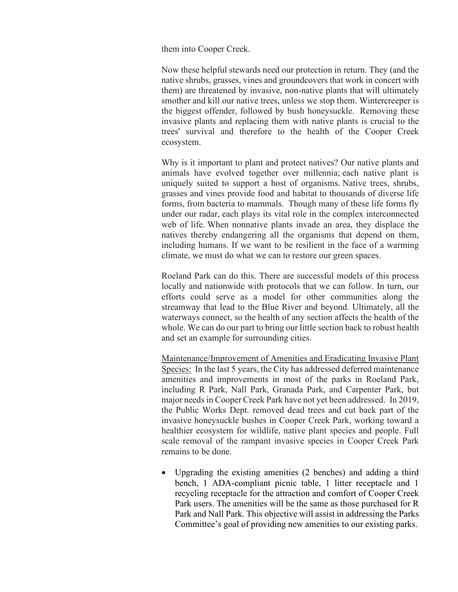them into Cooper Creek.

Now these helpful stewards need our protection in return. They (and the native shrubs, grasses, vines and groundcovers that work in concert with them) are threatened by invasive, non-native plants that will ultimately smother and kill our native trees, unless we stop them. Wintercreeper is the biggest offender, followed by bush honeysuckle. Removing these invasive plants and replacing them with native plants is crucial to the trees' survival and therefore to the health of the Cooper Creek ecosystem.

Why is it important to plant and protect natives? Our native plants and animals have evolved together over millennia; each native plant is uniquely suited to support a host of organisms. Native trees, shrubs, grasses and vines provide food and habitat to thousands of diverse life forms, from bacteria to mammals. Though many of these life forms fly under our radar, each plays its vital role in the complex interconnected web of life. When nonnative plants invade an area, they displace the natives thereby endangering all the organisms that depend on them, including humans. If we want to be resilient in the face of a warming climate, we must do what we can to restore our green spaces.

Roeland Park can do this. There are successful models of this process locally and nationwide with protocols that we can follow. In turn, our efforts could serve as a model for other communities along the streamway that lead to the Blue River and beyond. Ultimately, all the waterways connect, so the health of any section affects the health of the whole. We can do our part to bring our little section back to robust health and set an example for surrounding cities.

Maintenance/Improvement of Amenities and Eradicating Invasive Plant Species: In the last 5 years, the City has addressed deferred maintenance amenities and improvements in most of the parks in Roeland Park, including R Park, Nall Park, Granada Park, and Carpenter Park, but major needs in Cooper Creek Park have not yet been addressed. In 2019, the Public Works Dept. removed dead trees and cut back part of the invasive honeysuckle bushes in Cooper Creek Park, working toward a healthier ecosystem for wildlife, native plant species and people. Full scale removal of the rampant invasive species in Cooper Creek Park remains to be done.

• Upgrading the existing amenities (2 benches) and adding a third bench, 1 ADA-compliant picnic table, 1 litter receptacle and 1 recycling receptacle for the attraction and comfort of Cooper Creek Park users. The amenities will be the same as those purchased for R Park and Nall Park. This objective will assist in addressing the Parks Committee's goal of providing new amenities to our existing parks.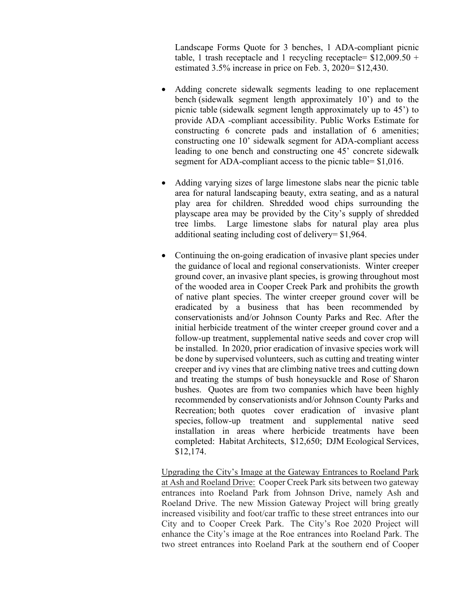Landscape Forms Quote for 3 benches, 1 ADA-compliant picnic table, 1 trash receptacle and 1 recycling receptacle=  $$12,009.50 +$ estimated 3.5% increase in price on Feb. 3, 2020= \$12,430.

- Adding concrete sidewalk segments leading to one replacement bench (sidewalk segment length approximately 10') and to the picnic table (sidewalk segment length approximately up to 45') to provide ADA -compliant accessibility. Public Works Estimate for constructing 6 concrete pads and installation of 6 amenities; constructing one 10' sidewalk segment for ADA-compliant access leading to one bench and constructing one 45' concrete sidewalk segment for ADA-compliant access to the picnic table= \$1,016.
- Adding varying sizes of large limestone slabs near the picnic table area for natural landscaping beauty, extra seating, and as a natural play area for children. Shredded wood chips surrounding the playscape area may be provided by the City's supply of shredded tree limbs. Large limestone slabs for natural play area plus additional seating including cost of delivery= \$1,964.
- Continuing the on-going eradication of invasive plant species under the guidance of local and regional conservationists. Winter creeper ground cover, an invasive plant species, is growing throughout most of the wooded area in Cooper Creek Park and prohibits the growth of native plant species. The winter creeper ground cover will be eradicated by a business that has been recommended by conservationists and/or Johnson County Parks and Rec. After the initial herbicide treatment of the winter creeper ground cover and a follow-up treatment, supplemental native seeds and cover crop will be installed. In 2020, prior eradication of invasive species work will be done by supervised volunteers, such as cutting and treating winter creeper and ivy vines that are climbing native trees and cutting down and treating the stumps of bush honeysuckle and Rose of Sharon bushes. Quotes are from two companies which have been highly recommended by conservationists and/or Johnson County Parks and Recreation; both quotes cover eradication of invasive plant species, follow-up treatment and supplemental native seed installation in areas where herbicide treatments have been completed: Habitat Architects, \$12,650; DJM Ecological Services, \$12,174.

Upgrading the City's Image at the Gateway Entrances to Roeland Park at Ash and Roeland Drive: Cooper Creek Park sits between two gateway entrances into Roeland Park from Johnson Drive, namely Ash and Roeland Drive. The new Mission Gateway Project will bring greatly increased visibility and foot/car traffic to these street entrances into our City and to Cooper Creek Park. The City's Roe 2020 Project will enhance the City's image at the Roe entrances into Roeland Park. The two street entrances into Roeland Park at the southern end of Cooper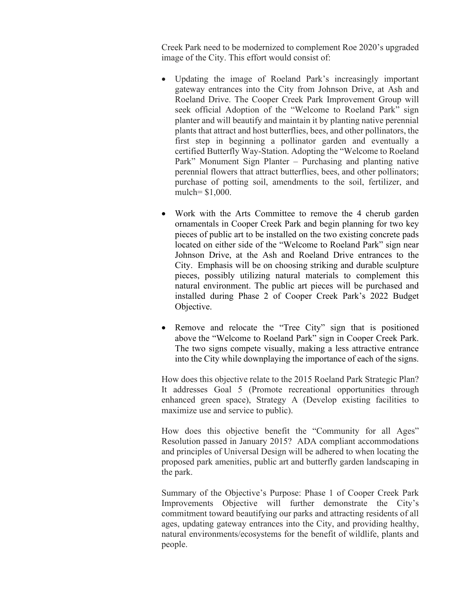Creek Park need to be modernized to complement Roe 2020's upgraded image of the City. This effort would consist of:

- Updating the image of Roeland Park's increasingly important gateway entrances into the City from Johnson Drive, at Ash and Roeland Drive. The Cooper Creek Park Improvement Group will seek official Adoption of the "Welcome to Roeland Park" sign planter and will beautify and maintain it by planting native perennial plants that attract and host butterflies, bees, and other pollinators, the first step in beginning a pollinator garden and eventually a certified Butterfly Way-Station. Adopting the "Welcome to Roeland Park" Monument Sign Planter – Purchasing and planting native perennial flowers that attract butterflies, bees, and other pollinators; purchase of potting soil, amendments to the soil, fertilizer, and mulch= \$1,000.
- Work with the Arts Committee to remove the 4 cherub garden ornamentals in Cooper Creek Park and begin planning for two key pieces of public art to be installed on the two existing concrete pads located on either side of the "Welcome to Roeland Park" sign near Johnson Drive, at the Ash and Roeland Drive entrances to the City. Emphasis will be on choosing striking and durable sculpture pieces, possibly utilizing natural materials to complement this natural environment. The public art pieces will be purchased and installed during Phase 2 of Cooper Creek Park's 2022 Budget Objective.
- Remove and relocate the "Tree City" sign that is positioned above the "Welcome to Roeland Park" sign in Cooper Creek Park. The two signs compete visually, making a less attractive entrance into the City while downplaying the importance of each of the signs.

How does this objective relate to the 2015 Roeland Park Strategic Plan? It addresses Goal 5 (Promote recreational opportunities through enhanced green space), Strategy A (Develop existing facilities to maximize use and service to public).

How does this objective benefit the "Community for all Ages" Resolution passed in January 2015? ADA compliant accommodations and principles of Universal Design will be adhered to when locating the proposed park amenities, public art and butterfly garden landscaping in the park.

Summary of the Objective's Purpose: Phase 1 of Cooper Creek Park Improvements Objective will further demonstrate the City's commitment toward beautifying our parks and attracting residents of all ages, updating gateway entrances into the City, and providing healthy, natural environments/ecosystems for the benefit of wildlife, plants and people.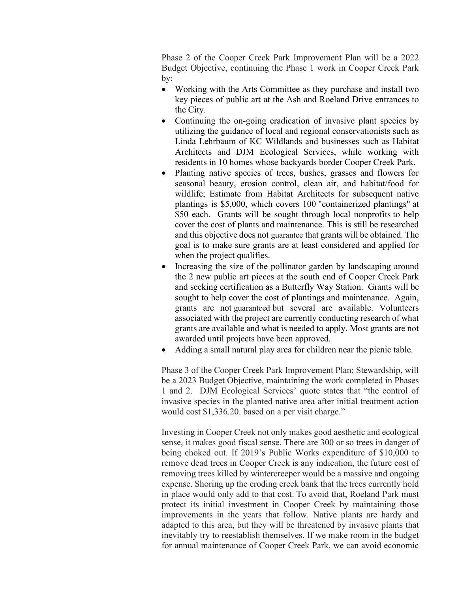Phase 2 of the Cooper Creek Park Improvement Plan will be a 2022 Budget Objective, continuing the Phase 1 work in Cooper Creek Park by:

- Working with the Arts Committee as they purchase and install two key pieces of public art at the Ash and Roeland Drive entrances to the City.
- Continuing the on-going eradication of invasive plant species by utilizing the guidance of local and regional conservationists such as Linda Lehrbaum of KC Wildlands and businesses such as Habitat Architects and DJM Ecological Services, while working with residents in 10 homes whose backyards border Cooper Creek Park.
- Planting native species of trees, bushes, grasses and flowers for seasonal beauty, erosion control, clean air, and habitat/food for wildlife; Estimate from Habitat Architects for subsequent native plantings is \$5,000, which covers 100 "containerized plantings" at \$50 each. Grants will be sought through local nonprofits to help cover the cost of plants and maintenance. This is still be researched and this objective does not guarantee that grants will be obtained. The goal is to make sure grants are at least considered and applied for when the project qualifies.
- Increasing the size of the pollinator garden by landscaping around the 2 new public art pieces at the south end of Cooper Creek Park and seeking certification as a Butterfly Way Station. Grants will be sought to help cover the cost of plantings and maintenance. Again, grants are not guaranteed but several are available. Volunteers associated with the project are currently conducting research of what grants are available and what is needed to apply. Most grants are not awarded until projects have been approved.
- Adding a small natural play area for children near the picnic table.

Phase 3 of the Cooper Creek Park Improvement Plan: Stewardship, will be a 2023 Budget Objective, maintaining the work completed in Phases 1 and 2. DJM Ecological Services' quote states that "the control of invasive species in the planted native area after initial treatment action would cost \$1,336.20. based on a per visit charge."

Investing in Cooper Creek not only makes good aesthetic and ecological sense, it makes good fiscal sense. There are 300 or so trees in danger of being choked out. If 2019's Public Works expenditure of \$10,000 to remove dead trees in Cooper Creek is any indication, the future cost of removing trees killed by wintercreeper would be a massive and ongoing expense. Shoring up the eroding creek bank that the trees currently hold in place would only add to that cost. To avoid that, Roeland Park must protect its initial investment in Cooper Creek by maintaining those improvements in the years that follow. Native plants are hardy and adapted to this area, but they will be threatened by invasive plants that inevitably try to reestablish themselves. If we make room in the budget for annual maintenance of Cooper Creek Park, we can avoid economic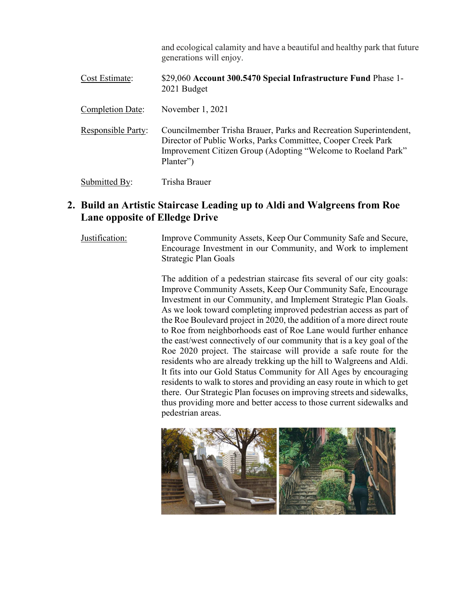|                           | and ecological calamity and have a beautiful and healthy park that future<br>generations will enjoy.                                                                                                            |
|---------------------------|-----------------------------------------------------------------------------------------------------------------------------------------------------------------------------------------------------------------|
| Cost Estimate:            | \$29,060 Account 300.5470 Special Infrastructure Fund Phase 1-<br>2021 Budget                                                                                                                                   |
| Completion Date:          | November $1, 2021$                                                                                                                                                                                              |
| <b>Responsible Party:</b> | Councilmember Trisha Brauer, Parks and Recreation Superintendent,<br>Director of Public Works, Parks Committee, Cooper Creek Park<br>Improvement Citizen Group (Adopting "Welcome to Roeland Park"<br>Planter") |
| Submitted By:             | Trisha Brauer                                                                                                                                                                                                   |

# **2. Build an Artistic Staircase Leading up to Aldi and Walgreens from Roe Lane opposite of Elledge Drive**

Justification: Improve Community Assets, Keep Our Community Safe and Secure, Encourage Investment in our Community, and Work to implement Strategic Plan Goals

> The addition of a pedestrian staircase fits several of our city goals: Improve Community Assets, Keep Our Community Safe, Encourage Investment in our Community, and Implement Strategic Plan Goals. As we look toward completing improved pedestrian access as part of the Roe Boulevard project in 2020, the addition of a more direct route to Roe from neighborhoods east of Roe Lane would further enhance the east/west connectively of our community that is a key goal of the Roe 2020 project. The staircase will provide a safe route for the residents who are already trekking up the hill to Walgreens and Aldi. It fits into our Gold Status Community for All Ages by encouraging residents to walk to stores and providing an easy route in which to get there. Our Strategic Plan focuses on improving streets and sidewalks, thus providing more and better access to those current sidewalks and pedestrian areas.

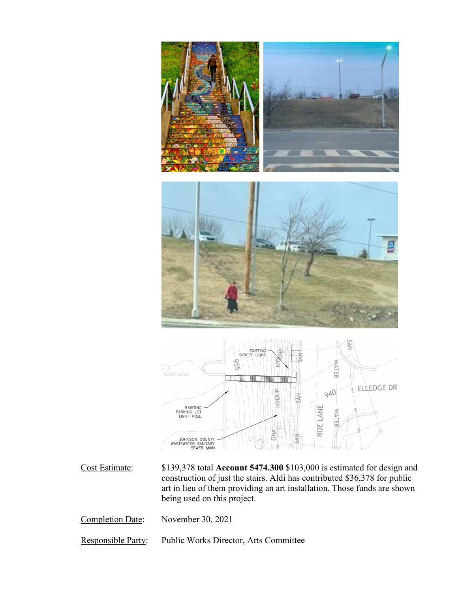

Cost Estimate: \$139,378 total **Account 5474.300** \$103,000 is estimated for design and construction of just the stairs. Aldi has contributed \$36,378 for public art in lieu of them providing an art installation. Those funds are shown being used on this project.

Completion Date: November 30, 2021

Responsible Party: Public Works Director, Arts Committee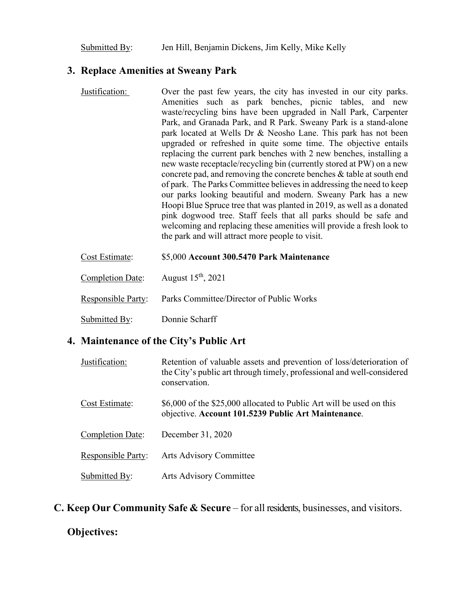Submitted By: Jen Hill, Benjamin Dickens, Jim Kelly, Mike Kelly

#### **3. Replace Amenities at Sweany Park**

- Justification: Over the past few years, the city has invested in our city parks. Amenities such as park benches, picnic tables, and new waste/recycling bins have been upgraded in Nall Park, Carpenter Park, and Granada Park, and R Park. Sweany Park is a stand-alone park located at Wells Dr & Neosho Lane. This park has not been upgraded or refreshed in quite some time. The objective entails replacing the current park benches with 2 new benches, installing a new waste receptacle/recycling bin (currently stored at PW) on a new concrete pad, and removing the concrete benches & table at south end of park. The Parks Committee believes in addressing the need to keep our parks looking beautiful and modern. Sweany Park has a new Hoopi Blue Spruce tree that was planted in 2019, as well as a donated pink dogwood tree. Staff feels that all parks should be safe and welcoming and replacing these amenities will provide a fresh look to the park and will attract more people to visit.
- Cost Estimate: \$5,000 **Account 300.5470 Park Maintenance**  Completion Date: August 15<sup>th</sup>, 2021 Responsible Party: Parks Committee/Director of Public Works Submitted By: Donnie Scharff

### **4. Maintenance of the City's Public Art**

| Justification:            | Retention of valuable assets and prevention of loss/deterioration of<br>the City's public art through timely, professional and well-considered<br>conservation. |
|---------------------------|-----------------------------------------------------------------------------------------------------------------------------------------------------------------|
| Cost Estimate:            | \$6,000 of the \$25,000 allocated to Public Art will be used on this<br>objective. Account 101.5239 Public Art Maintenance.                                     |
| Completion Date:          | December 31, 2020                                                                                                                                               |
| <b>Responsible Party:</b> | <b>Arts Advisory Committee</b>                                                                                                                                  |
| Submitted By:             | Arts Advisory Committee                                                                                                                                         |

**C. Keep Our Community Safe & Secure** – for all residents, businesses, and visitors.

#### **Objectives:**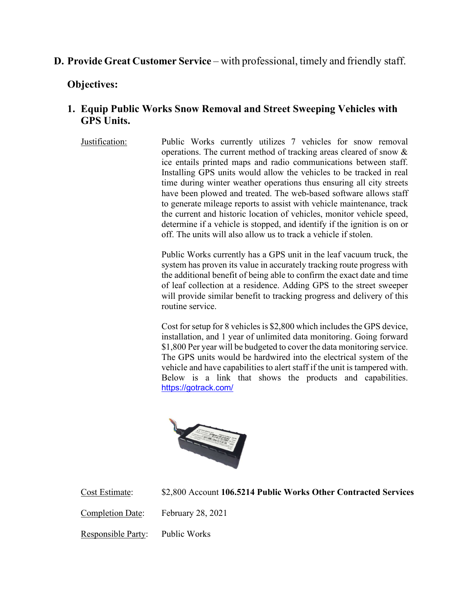# **D. Provide Great Customer Service** – with professional, timely and friendly staff.

### **Objectives:**

## **1. Equip Public Works Snow Removal and Street Sweeping Vehicles with GPS Units.**

Justification: Public Works currently utilizes 7 vehicles for snow removal operations. The current method of tracking areas cleared of snow & ice entails printed maps and radio communications between staff. Installing GPS units would allow the vehicles to be tracked in real time during winter weather operations thus ensuring all city streets have been plowed and treated. The web-based software allows staff to generate mileage reports to assist with vehicle maintenance, track the current and historic location of vehicles, monitor vehicle speed, determine if a vehicle is stopped, and identify if the ignition is on or off. The units will also allow us to track a vehicle if stolen.

> Public Works currently has a GPS unit in the leaf vacuum truck, the system has proven its value in accurately tracking route progress with the additional benefit of being able to confirm the exact date and time of leaf collection at a residence. Adding GPS to the street sweeper will provide similar benefit to tracking progress and delivery of this routine service.

> Cost for setup for 8 vehicles is \$2,800 which includes the GPS device, installation, and 1 year of unlimited data monitoring. Going forward \$1,800 Per year will be budgeted to cover the data monitoring service. The GPS units would be hardwired into the electrical system of the vehicle and have capabilities to alert staff if the unit is tampered with. Below is a link that shows the products and capabilities. https://gotrack.com/



Cost Estimate: \$2,800 Account **106.5214 Public Works Other Contracted Services** 

Completion Date: February 28, 2021

Responsible Party: Public Works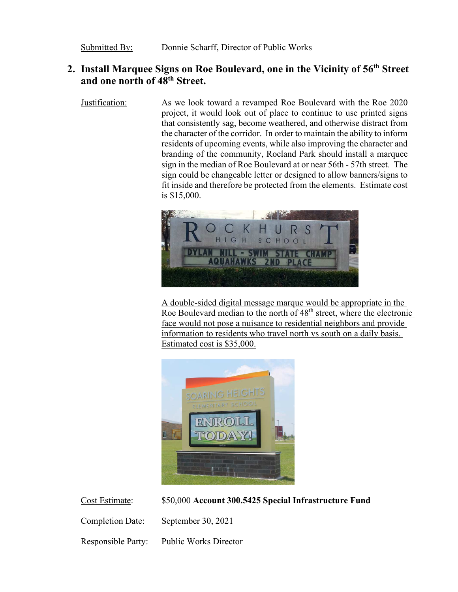# **2. Install Marquee Signs on Roe Boulevard, one in the Vicinity of 56th Street and one north of 48th Street.**

Justification: As we look toward a revamped Roe Boulevard with the Roe 2020 project, it would look out of place to continue to use printed signs that consistently sag, become weathered, and otherwise distract from the character of the corridor. In order to maintain the ability to inform residents of upcoming events, while also improving the character and branding of the community, Roeland Park should install a marquee sign in the median of Roe Boulevard at or near 56th - 57th street. The sign could be changeable letter or designed to allow banners/signs to fit inside and therefore be protected from the elements. Estimate cost is \$15,000.



A double-sided digital message marque would be appropriate in the Roe Boulevard median to the north of  $48<sup>th</sup>$  street, where the electronic face would not pose a nuisance to residential neighbors and provide information to residents who travel north vs south on a daily basis. Estimated cost is \$35,000.



Cost Estimate: \$50,000 **Account 300.5425 Special Infrastructure Fund** 

Completion Date: September 30, 2021

Responsible Party: Public Works Director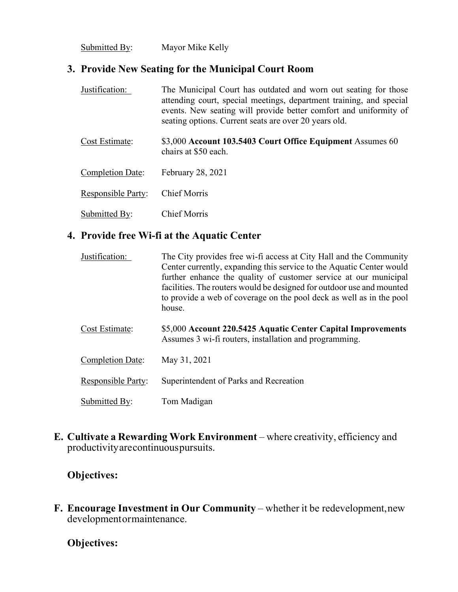Submitted By: Mayor Mike Kelly

## **3. Provide New Seating for the Municipal Court Room**

| Justification:            | The Municipal Court has outdated and worn out seating for those<br>attending court, special meetings, department training, and special<br>events. New seating will provide better comfort and uniformity of<br>seating options. Current seats are over 20 years old. |
|---------------------------|----------------------------------------------------------------------------------------------------------------------------------------------------------------------------------------------------------------------------------------------------------------------|
| Cost Estimate:            | \$3,000 Account 103.5403 Court Office Equipment Assumes 60<br>chairs at \$50 each.                                                                                                                                                                                   |
| Completion Date:          | February 28, 2021                                                                                                                                                                                                                                                    |
| <b>Responsible Party:</b> | <b>Chief Morris</b>                                                                                                                                                                                                                                                  |
| Submitted By:             | <b>Chief Morris</b>                                                                                                                                                                                                                                                  |

# **4. Provide free Wi-fi at the Aquatic Center**

| Justification:            | The City provides free wi-fi access at City Hall and the Community<br>Center currently, expanding this service to the Aquatic Center would<br>further enhance the quality of customer service at our municipal<br>facilities. The routers would be designed for outdoor use and mounted<br>to provide a web of coverage on the pool deck as well as in the pool<br>house. |
|---------------------------|---------------------------------------------------------------------------------------------------------------------------------------------------------------------------------------------------------------------------------------------------------------------------------------------------------------------------------------------------------------------------|
| Cost Estimate:            | \$5,000 Account 220.5425 Aquatic Center Capital Improvements<br>Assumes 3 wi-fi routers, installation and programming.                                                                                                                                                                                                                                                    |
| Completion Date:          | May 31, 2021                                                                                                                                                                                                                                                                                                                                                              |
| <b>Responsible Party:</b> | Superintendent of Parks and Recreation                                                                                                                                                                                                                                                                                                                                    |
| Submitted By:             | Tom Madigan                                                                                                                                                                                                                                                                                                                                                               |

**E. Cultivate a Rewarding Work Environment** – where creativity, efficiency and productivity are continuous pursuits.

## **Objectives:**

**F. Encourage Investment in Our Community – whether it be redevelopment, new** development or maintenance.

### **Objectives:**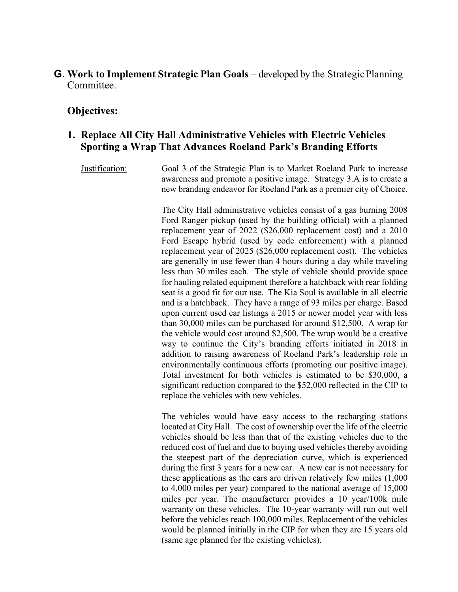#### **G. Work to Implement Strategic Plan Goals** – developed by the Strategic Planning Committee.

#### **Objectives:**

#### **1. Replace All City Hall Administrative Vehicles with Electric Vehicles Sporting a Wrap That Advances Roeland Park's Branding Efforts**

Justification: Goal 3 of the Strategic Plan is to Market Roeland Park to increase awareness and promote a positive image. Strategy 3.A is to create a new branding endeavor for Roeland Park as a premier city of Choice.

> The City Hall administrative vehicles consist of a gas burning 2008 Ford Ranger pickup (used by the building official) with a planned replacement year of 2022 (\$26,000 replacement cost) and a 2010 Ford Escape hybrid (used by code enforcement) with a planned replacement year of 2025 (\$26,000 replacement cost). The vehicles are generally in use fewer than 4 hours during a day while traveling less than 30 miles each. The style of vehicle should provide space for hauling related equipment therefore a hatchback with rear folding seat is a good fit for our use. The Kia Soul is available in all electric and is a hatchback. They have a range of 93 miles per charge. Based upon current used car listings a 2015 or newer model year with less than 30,000 miles can be purchased for around \$12,500. A wrap for the vehicle would cost around \$2,500. The wrap would be a creative way to continue the City's branding efforts initiated in 2018 in addition to raising awareness of Roeland Park's leadership role in environmentally continuous efforts (promoting our positive image). Total investment for both vehicles is estimated to be \$30,000, a significant reduction compared to the \$52,000 reflected in the CIP to replace the vehicles with new vehicles.

> The vehicles would have easy access to the recharging stations located at City Hall. The cost of ownership over the life of the electric vehicles should be less than that of the existing vehicles due to the reduced cost of fuel and due to buying used vehicles thereby avoiding the steepest part of the depreciation curve, which is experienced during the first 3 years for a new car. A new car is not necessary for these applications as the cars are driven relatively few miles (1,000 to 4,000 miles per year) compared to the national average of 15,000 miles per year. The manufacturer provides a 10 year/100k mile warranty on these vehicles. The 10-year warranty will run out well before the vehicles reach 100,000 miles. Replacement of the vehicles would be planned initially in the CIP for when they are 15 years old (same age planned for the existing vehicles).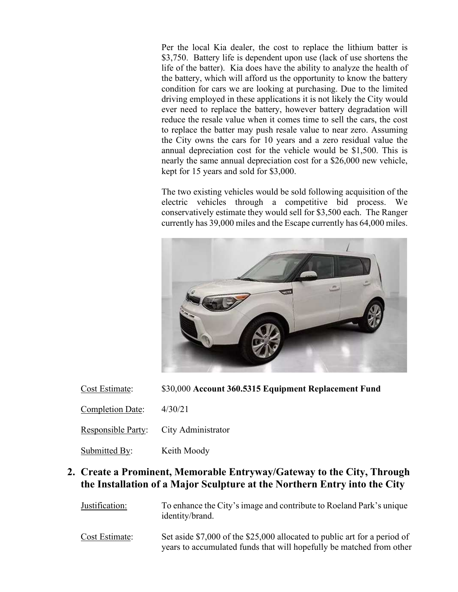Per the local Kia dealer, the cost to replace the lithium batter is \$3,750. Battery life is dependent upon use (lack of use shortens the life of the batter). Kia does have the ability to analyze the health of the battery, which will afford us the opportunity to know the battery condition for cars we are looking at purchasing. Due to the limited driving employed in these applications it is not likely the City would ever need to replace the battery, however battery degradation will reduce the resale value when it comes time to sell the cars, the cost to replace the batter may push resale value to near zero. Assuming the City owns the cars for 10 years and a zero residual value the annual depreciation cost for the vehicle would be \$1,500. This is nearly the same annual depreciation cost for a \$26,000 new vehicle, kept for 15 years and sold for \$3,000.

The two existing vehicles would be sold following acquisition of the electric vehicles through a competitive bid process. We conservatively estimate they would sell for \$3,500 each. The Ranger currently has 39,000 miles and the Escape currently has 64,000 miles.



| Cost Estimate: | \$30,000 Account 360.5315 Equipment Replacement Fund |  |
|----------------|------------------------------------------------------|--|
|----------------|------------------------------------------------------|--|

Completion Date: 4/30/21

Responsible Party: City Administrator

Submitted By: Keith Moody

# **2. Create a Prominent, Memorable Entryway/Gateway to the City, Through the Installation of a Major Sculpture at the Northern Entry into the City**

Justification: To enhance the City's image and contribute to Roeland Park's unique identity/brand.

Cost Estimate: Set aside \$7,000 of the \$25,000 allocated to public art for a period of years to accumulated funds that will hopefully be matched from other